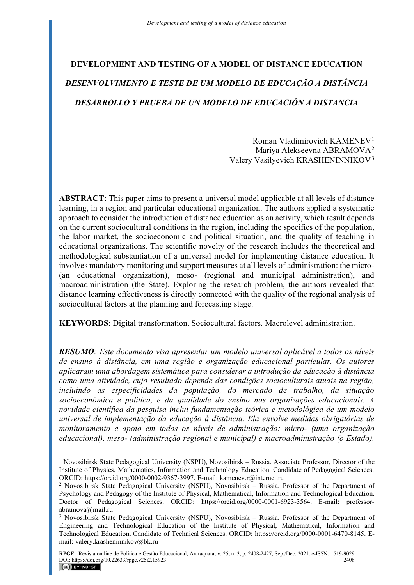# **DEVELOPMENT AND TESTING OF A MODEL OF DISTANCE EDUCATION** *DESENVOLVIMENTO E TESTE DE UM MODELO DE EDUCAÇÃO A DISTÂNCIA DESARROLLO Y PRUEBA DE UN MODELO DE EDUCACIÓN A DISTANCIA*

Roman Vladimirovich KAMENEV[1](#page-0-0) Mariya Alekseevna ABRAMOVA[2](#page-0-1) Valery Vasilyevich KRASHENINNIKOV[3](#page-0-2)

**ABSTRACT**: This paper aims to present a universal model applicable at all levels of distance learning, in a region and particular educational organization. The authors applied a systematic approach to consider the introduction of distance education as an activity, which result depends on the current sociocultural conditions in the region, including the specifics of the population, the labor market, the socioeconomic and political situation, and the quality of teaching in educational organizations. The scientific novelty of the research includes the theoretical and methodological substantiation of a universal model for implementing distance education. It involves mandatory monitoring and support measures at all levels of administration: the micro- (an educational organization), meso- (regional and municipal administration), and macroadministration (the State). Exploring the research problem, the authors revealed that distance learning effectiveness is directly connected with the quality of the regional analysis of sociocultural factors at the planning and forecasting stage.

**KEYWORDS**: Digital transformation. Sociocultural factors. Macrolevel administration.

*RESUMO: Este documento visa apresentar um modelo universal aplicável a todos os níveis de ensino à distância, em uma região e organização educacional particular. Os autores aplicaram uma abordagem sistemática para considerar a introdução da educação à distância como uma atividade, cujo resultado depende das condições socioculturais atuais na região, incluindo as especificidades da população, do mercado de trabalho, da situação socioeconômica e política, e da qualidade do ensino nas organizações educacionais. A novidade científica da pesquisa inclui fundamentação teórica e metodológica de um modelo universal de implementação da educação à distância. Ela envolve medidas obrigatórias de monitoramento e apoio em todos os níveis de administração: micro- (uma organização educacional), meso- (administração regional e municipal) e macroadministração (o Estado).* 

<span id="page-0-0"></span><sup>&</sup>lt;sup>1</sup> Novosibirsk State Pedagogical University (NSPU), Novosibirsk – Russia. Associate Professor, Director of the Institute of Physics, Mathematics, Information and Technology Education. Candidate of Pedagogical Sciences. ORCID: https://orcid.org/0000-0002-9367-3997. E-mail: kamenev.r@internet.ru

<span id="page-0-1"></span><sup>2</sup> Novosibirsk State Pedagogical University (NSPU), Novosibirsk – Russia. Professor of the Department of Psychology and Pedagogy of the Institute of Physical, Mathematical, Information and Technological Education. Doctor of Pedagogical Sciences. ORCID: https://orcid.org/0000-0001-6923-3564. E-mail: professorabramova@mail.ru

<span id="page-0-2"></span><sup>3</sup> Novosibirsk State Pedagogical University (NSPU), Novosibirsk – Russia. Professor of the Department of Engineering and Technological Education of the Institute of Physical, Mathematical, Information and Technological Education. Candidate of Technical Sciences. ORCID: https://orcid.org/0000-0001-6470-8145. Email: valery.krasheninnikov@bk.ru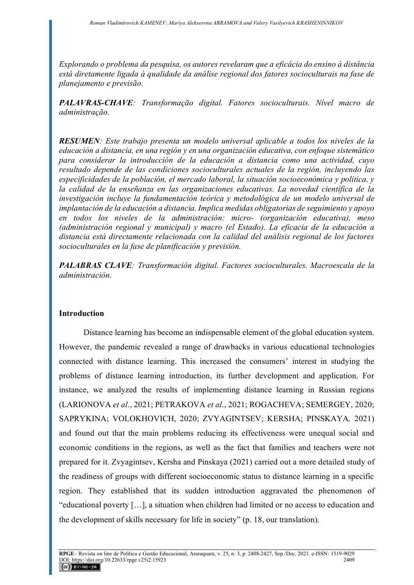*Explorando o problema da pesquisa, os autores revelaram que a eficácia do ensino à distância está diretamente ligada à qualidade da análise regional dos fatores socioculturais na fase de planejamento e previsão.* 

*PALAVRAS-CHAVE: Transformação digital. Fatores socioculturais. Nível macro de administração.*

*RESUMEN: Este trabajo presenta un modelo universal aplicable a todos los niveles de la educación a distancia, en una región y en una organización educativa, con enfoque sistemático para considerar la introducción de la educación a distancia como una actividad, cuyo resultado depende de las condiciones socioculturales actuales de la región, incluyendo las especificidades de la población, el mercado laboral, la situación socioeconómica y política, y la calidad de la enseñanza en las organizaciones educativas. La novedad científica de la investigación incluye la fundamentación teórica y metodológica de un modelo universal de implantación de la educación a distancia. Implica medidas obligatorias de seguimiento y apoyo en todos los niveles de la administración: micro- (organización educativa), meso (administración regional y municipal) y macro (el Estado). La eficacia de la educación a distancia está directamente relacionada con la calidad del análisis regional de los factores socioculturales en la fase de planificación y previsión.*

*PALABRAS CLAVE: Transformación digital. Factores socioculturales. Macroescala de la administración.*

#### **Introduction**

Distance learning has become an indispensable element of the global education system. However, the pandemic revealed a range of drawbacks in various educational technologies connected with distance learning. This increased the consumers' interest in studying the problems of distance learning introduction, its further development and application. For instance, we analyzed the results of implementing distance learning in Russian regions (LARIONOVA *et al.*, 2021; PETRAKOVA *et al.*, 2021; ROGACHEVA; SEMERGEY, 2020; SAPRYKINA; VOLOKHOVICH, 2020; ZVYAGINTSEV; KERSHA; PINSKAYA*,* 2021) and found out that the main problems reducing its effectiveness were unequal social and economic conditions in the regions, as well as the fact that families and teachers were not prepared for it. Zvyagintsev, Kersha and Pinskaya (2021) carried out a more detailed study of the readiness of groups with different socioeconomic status to distance learning in a specific region. They established that its sudden introduction aggravated the phenomenon of "educational poverty […], a situation when children had limited or no access to education and the development of skills necessary for life in society" (p. 18, our translation).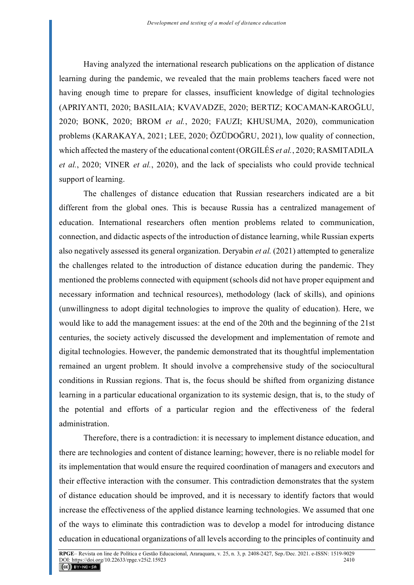Having analyzed the international research publications on the application of distance learning during the pandemic, we revealed that the main problems teachers faced were not having enough time to prepare for classes, insufficient knowledge of digital technologies (APRIYANTI, 2020; BASILAIA; KVAVADZE, 2020; BERTIZ; KOCAMAN-KAROĞLU, 2020; BONK, 2020; BROM *et al.*, 2020; FAUZI; KHUSUMA, 2020), communication problems (KARAKAYA, 2021; LEE, 2020; ÖZÜDOĞRU, 2021), low quality of connection, which affected the mastery of the educational content (ORGILÉS *et al.*, 2020; RASMITADILA *et al.*, 2020; VINER *et al.*, 2020), and the lack of specialists who could provide technical support of learning.

The challenges of distance education that Russian researchers indicated are a bit different from the global ones. This is because Russia has a centralized management of education. International researchers often mention problems related to communication, connection, and didactic aspects of the introduction of distance learning, while Russian experts also negatively assessed its general organization. Deryabin *et al.* (2021) attempted to generalize the challenges related to the introduction of distance education during the pandemic. They mentioned the problems connected with equipment (schools did not have proper equipment and necessary information and technical resources), methodology (lack of skills), and opinions (unwillingness to adopt digital technologies to improve the quality of education). Here, we would like to add the management issues: at the end of the 20th and the beginning of the 21st centuries, the society actively discussed the development and implementation of remote and digital technologies. However, the pandemic demonstrated that its thoughtful implementation remained an urgent problem. It should involve a comprehensive study of the sociocultural conditions in Russian regions. That is, the focus should be shifted from organizing distance learning in a particular educational organization to its systemic design, that is, to the study of the potential and efforts of a particular region and the effectiveness of the federal administration.

Therefore, there is a contradiction: it is necessary to implement distance education, and there are technologies and content of distance learning; however, there is no reliable model for its implementation that would ensure the required coordination of managers and executors and their effective interaction with the consumer. This contradiction demonstrates that the system of distance education should be improved, and it is necessary to identify factors that would increase the effectiveness of the applied distance learning technologies. We assumed that one of the ways to eliminate this contradiction was to develop a model for introducing distance education in educational organizations of all levels according to the principles of continuity and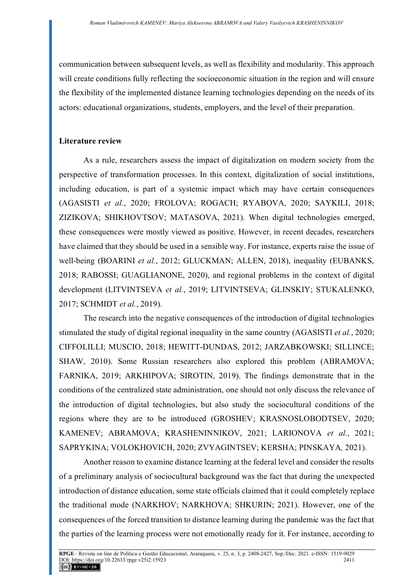communication between subsequent levels, as well as flexibility and modularity. This approach will create conditions fully reflecting the socioeconomic situation in the region and will ensure the flexibility of the implemented distance learning technologies depending on the needs of its actors: educational organizations, students, employers, and the level of their preparation.

## **Literature review**

As a rule, researchers assess the impact of digitalization on modern society from the perspective of transformation processes. In this context, digitalization of social institutions, including education, is part of a systemic impact which may have certain consequences (AGASISTI *et al.*, 2020; FROLOVA; ROGACH; RYABOVA, 2020; SAYKILI, 2018; ZIZIKOVA; SHIKHOVTSOV; MATASOVA, 2021). When digital technologies emerged, these consequences were mostly viewed as positive. However, in recent decades, researchers have claimed that they should be used in a sensible way. For instance, experts raise the issue of well-being (BOARINI *et al.*, 2012; GLUCKMAN; ALLEN, 2018), inequality (EUBANKS, 2018; RABOSSI; GUAGLIANONE, 2020), and regional problems in the context of digital development (LITVINTSEVA *et al.*, 2019; LITVINTSEVA; GLINSKIY; STUKALENKO, 2017; SCHMIDT *et al.*, 2019).

The research into the negative consequences of the introduction of digital technologies stimulated the study of digital regional inequality in the same country (AGASISTI *et al.*, 2020; CIFFOLILLI; MUSCIO, 2018; HEWITT-DUNDAS, 2012; JARZABKOWSKI; SILLINCE; SHAW, 2010). Some Russian researchers also explored this problem (ABRAMOVA; FARNIKA, 2019; ARKHIPOVA; SIROTIN, 2019). The findings demonstrate that in the conditions of the centralized state administration, one should not only discuss the relevance of the introduction of digital technologies, but also study the sociocultural conditions of the regions where they are to be introduced (GROSHEV; KRASNOSLOBODTSEV, 2020; KAMENEV; ABRAMOVA; KRASHENINNIKOV, 2021; LARIONOVA *et al.*, 2021; SAPRYKINA; VOLOKHOVICH, 2020; ZVYAGINTSEV; KERSHA; PINSKAYA*,* 2021).

Another reason to examine distance learning at the federal level and consider the results of a preliminary analysis of sociocultural background was the fact that during the unexpected introduction of distance education, some state officials claimed that it could completely replace the traditional mode (NARKHOV; NARKHOVA; SHKURIN; 2021). However, one of the consequences of the forced transition to distance learning during the pandemic was the fact that the parties of the learning process were not emotionally ready for it. For instance, according to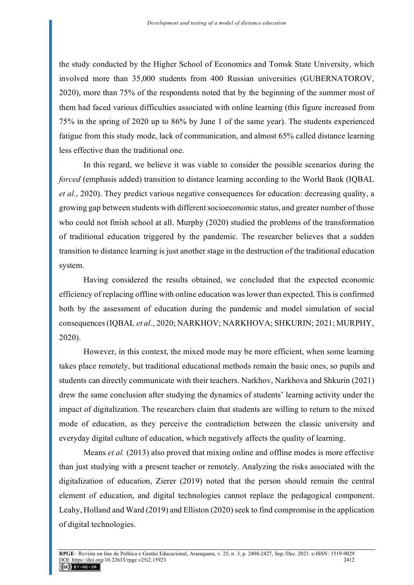the study conducted by the Higher School of Economics and Tomsk State University, which involved more than 35,000 students from 400 Russian universities (GUBERNATOROV, 2020), more than 75% of the respondents noted that by the beginning of the summer most of them had faced various difficulties associated with online learning (this figure increased from 75% in the spring of 2020 up to 86% by June 1 of the same year). The students experienced fatigue from this study mode, lack of communication, and almost 65% called distance learning less effective than the traditional one.

In this regard, we believe it was viable to consider the possible scenarios during the *forced* (emphasis added) transition to distance learning according to the World Bank (IQBAL *et al.*, 2020). They predict various negative consequences for education: decreasing quality, a growing gap between students with different socioeconomic status, and greater number of those who could not finish school at all. Murphy (2020) studied the problems of the transformation of traditional education triggered by the pandemic. The researcher believes that a sudden transition to distance learning is just another stage in the destruction of the traditional education system.

Having considered the results obtained, we concluded that the expected economic efficiency of replacing offline with online education was lower than expected. This is confirmed both by the assessment of education during the pandemic and model simulation of social consequences (IQBAL *et al.*, 2020; NARKHOV; NARKHOVA; SHKURIN; 2021; MURPHY, 2020).

However, in this context, the mixed mode may be more efficient, when some learning takes place remotely, but traditional educational methods remain the basic ones, so pupils and students can directly communicate with their teachers. Narkhov, Narkhova and Shkurin (2021) drew the same conclusion after studying the dynamics of students' learning activity under the impact of digitalization. The researchers claim that students are willing to return to the mixed mode of education, as they perceive the contradiction between the classic university and everyday digital culture of education, which negatively affects the quality of learning.

Means *et al.* (2013) also proved that mixing online and offline modes is more effective than just studying with a present teacher or remotely. Analyzing the risks associated with the digitalization of education, Zierer (2019) noted that the person should remain the central element of education, and digital technologies cannot replace the pedagogical component. Leahy, Holland and Ward (2019) and Elliston (2020) seek to find compromise in the application of digital technologies.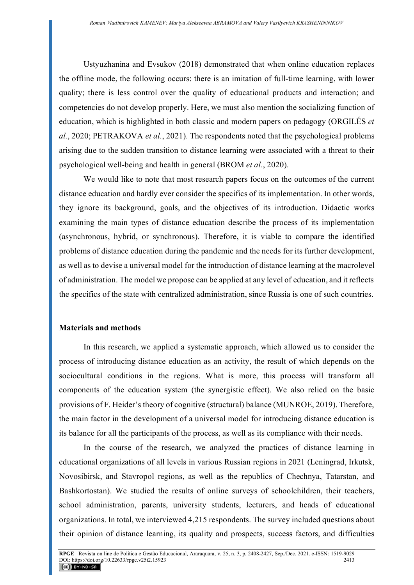Ustyuzhanina and Evsukov (2018) demonstrated that when online education replaces the offline mode, the following occurs: there is an imitation of full-time learning, with lower quality; there is less control over the quality of educational products and interaction; and competencies do not develop properly. Here, we must also mention the socializing function of education, which is highlighted in both classic and modern papers on pedagogy (ORGILÉS *et al.*, 2020; PETRAKOVA *et al.*, 2021). The respondents noted that the psychological problems arising due to the sudden transition to distance learning were associated with a threat to their psychological well-being and health in general (BROM *et al.*, 2020).

We would like to note that most research papers focus on the outcomes of the current distance education and hardly ever consider the specifics of its implementation. In other words, they ignore its background, goals, and the objectives of its introduction. Didactic works examining the main types of distance education describe the process of its implementation (asynchronous, hybrid, or synchronous). Therefore, it is viable to compare the identified problems of distance education during the pandemic and the needs for its further development, as well as to devise a universal model for the introduction of distance learning at the macrolevel of administration. The model we propose can be applied at any level of education, and it reflects the specifics of the state with centralized administration, since Russia is one of such countries.

### **Materials and methods**

In this research, we applied a systematic approach, which allowed us to consider the process of introducing distance education as an activity, the result of which depends on the sociocultural conditions in the regions. What is more, this process will transform all components of the education system (the synergistic effect). We also relied on the basic provisions of F. Heider's theory of cognitive (structural) balance (MUNROE, 2019). Therefore, the main factor in the development of a universal model for introducing distance education is its balance for all the participants of the process, as well as its compliance with their needs.

In the course of the research, we analyzed the practices of distance learning in educational organizations of all levels in various Russian regions in 2021 (Leningrad, Irkutsk, Novosibirsk, and Stavropol regions, as well as the republics of Chechnya, Tatarstan, and Bashkortostan). We studied the results of online surveys of schoolchildren, their teachers, school administration, parents, university students, lecturers, and heads of educational organizations. In total, we interviewed 4,215 respondents. The survey included questions about their opinion of distance learning, its quality and prospects, success factors, and difficulties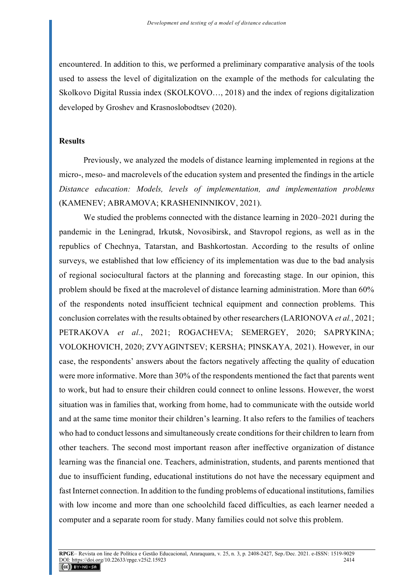encountered. In addition to this, we performed a preliminary comparative analysis of the tools used to assess the level of digitalization on the example of the methods for calculating the Skolkovo Digital Russia index (SKOLKOVO…, 2018) and the index of regions digitalization developed by Groshev and Krasnoslobodtsev (2020).

#### **Results**

Previously, we analyzed the models of distance learning implemented in regions at the micro-, meso- and macrolevels of the education system and presented the findings in the article *Distance education: Models, levels of implementation, and implementation problems* (KAMENEV; ABRAMOVA; KRASHENINNIKOV, 2021).

We studied the problems connected with the distance learning in 2020–2021 during the pandemic in the Leningrad, Irkutsk, Novosibirsk, and Stavropol regions, as well as in the republics of Chechnya, Tatarstan, and Bashkortostan. According to the results of online surveys, we established that low efficiency of its implementation was due to the bad analysis of regional sociocultural factors at the planning and forecasting stage. In our opinion, this problem should be fixed at the macrolevel of distance learning administration. More than 60% of the respondents noted insufficient technical equipment and connection problems. This conclusion correlates with the results obtained by other researchers (LARIONOVA *et al.*, 2021; PETRAKOVA *et al.*, 2021; ROGACHEVA; SEMERGEY, 2020; SAPRYKINA; VOLOKHOVICH, 2020; ZVYAGINTSEV; KERSHA; PINSKAYA*,* 2021). However, in our case, the respondents' answers about the factors negatively affecting the quality of education were more informative. More than 30% of the respondents mentioned the fact that parents went to work, but had to ensure their children could connect to online lessons. However, the worst situation was in families that, working from home, had to communicate with the outside world and at the same time monitor their children's learning. It also refers to the families of teachers who had to conduct lessons and simultaneously create conditions for their children to learn from other teachers. The second most important reason after ineffective organization of distance learning was the financial one. Teachers, administration, students, and parents mentioned that due to insufficient funding, educational institutions do not have the necessary equipment and fast Internet connection. In addition to the funding problems of educational institutions, families with low income and more than one schoolchild faced difficulties, as each learner needed a computer and a separate room for study. Many families could not solve this problem.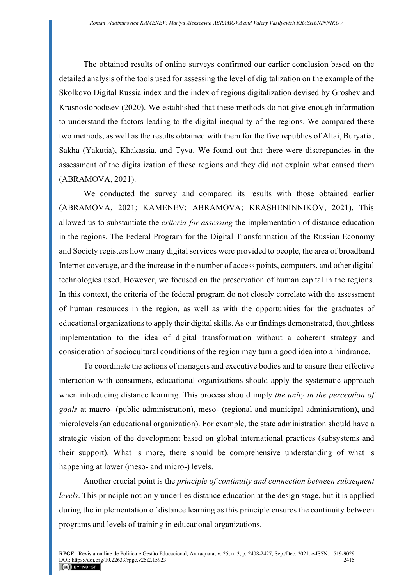The obtained results of online surveys confirmed our earlier conclusion based on the detailed analysis of the tools used for assessing the level of digitalization on the example of the Skolkovo Digital Russia index and the index of regions digitalization devised by Groshev and Krasnoslobodtsev (2020). We established that these methods do not give enough information to understand the factors leading to the digital inequality of the regions. We compared these two methods, as well as the results obtained with them for the five republics of Altai, Buryatia, Sakha (Yakutia), Khakassia, and Tyva. We found out that there were discrepancies in the assessment of the digitalization of these regions and they did not explain what caused them (ABRAMOVA, 2021).

We conducted the survey and compared its results with those obtained earlier (ABRAMOVA, 2021; KAMENEV; ABRAMOVA; KRASHENINNIKOV, 2021). This allowed us to substantiate the *criteria for assessing* the implementation of distance education in the regions. The Federal Program for the Digital Transformation of the Russian Economy and Society registers how many digital services were provided to people, the area of broadband Internet coverage, and the increase in the number of access points, computers, and other digital technologies used. However, we focused on the preservation of human capital in the regions. In this context, the criteria of the federal program do not closely correlate with the assessment of human resources in the region, as well as with the opportunities for the graduates of educational organizations to apply their digital skills. As our findings demonstrated, thoughtless implementation to the idea of digital transformation without a coherent strategy and consideration of sociocultural conditions of the region may turn a good idea into a hindrance.

To coordinate the actions of managers and executive bodies and to ensure their effective interaction with consumers, educational organizations should apply the systematic approach when introducing distance learning. This process should imply *the unity in the perception of goals* at macro- (public administration), meso- (regional and municipal administration), and microlevels (an educational organization). For example, the state administration should have a strategic vision of the development based on global international practices (subsystems and their support). What is more, there should be comprehensive understanding of what is happening at lower (meso- and micro-) levels.

Another crucial point is the *principle of continuity and connection between subsequent levels*. This principle not only underlies distance education at the design stage, but it is applied during the implementation of distance learning as this principle ensures the continuity between programs and levels of training in educational organizations.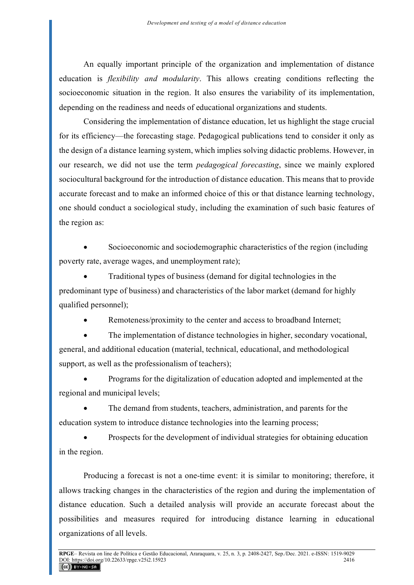An equally important principle of the organization and implementation of distance education is *flexibility and modularity*. This allows creating conditions reflecting the socioeconomic situation in the region. It also ensures the variability of its implementation, depending on the readiness and needs of educational organizations and students.

Considering the implementation of distance education, let us highlight the stage crucial for its efficiency—the forecasting stage. Pedagogical publications tend to consider it only as the design of a distance learning system, which implies solving didactic problems. However, in our research, we did not use the term *pedagogical forecasting*, since we mainly explored sociocultural background for the introduction of distance education. This means that to provide accurate forecast and to make an informed choice of this or that distance learning technology, one should conduct a sociological study, including the examination of such basic features of the region as:

Socioeconomic and sociodemographic characteristics of the region (including poverty rate, average wages, and unemployment rate);

• Traditional types of business (demand for digital technologies in the predominant type of business) and characteristics of the labor market (demand for highly qualified personnel);

Remoteness/proximity to the center and access to broadband Internet;

The implementation of distance technologies in higher, secondary vocational, general, and additional education (material, technical, educational, and methodological support, as well as the professionalism of teachers);

• Programs for the digitalization of education adopted and implemented at the regional and municipal levels;

The demand from students, teachers, administration, and parents for the education system to introduce distance technologies into the learning process;

• Prospects for the development of individual strategies for obtaining education in the region.

Producing a forecast is not a one-time event: it is similar to monitoring; therefore, it allows tracking changes in the characteristics of the region and during the implementation of distance education. Such a detailed analysis will provide an accurate forecast about the possibilities and measures required for introducing distance learning in educational organizations of all levels.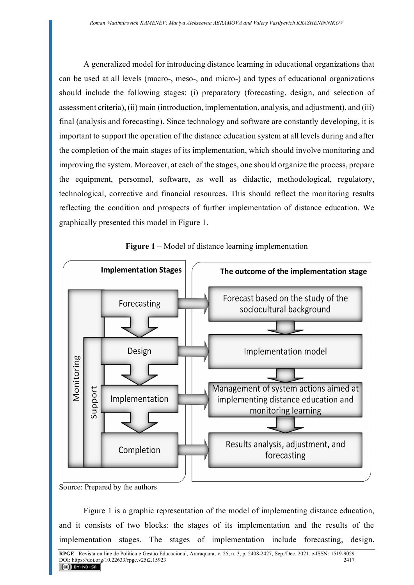A generalized model for introducing distance learning in educational organizations that can be used at all levels (macro-, meso-, and micro-) and types of educational organizations should include the following stages: (i) preparatory (forecasting, design, and selection of assessment criteria), (ii) main (introduction, implementation, analysis, and adjustment), and (iii) final (analysis and forecasting). Since technology and software are constantly developing, it is important to support the operation of the distance education system at all levels during and after the completion of the main stages of its implementation, which should involve monitoring and improving the system. Moreover, at each of the stages, one should organize the process, prepare the equipment, personnel, software, as well as didactic, methodological, regulatory, technological, corrective and financial resources. This should reflect the monitoring results reflecting the condition and prospects of further implementation of distance education. We graphically presented this model in Figure 1.



**Figure 1** – Model of distance learning implementation

Figure 1 is a graphic representation of the model of implementing distance education, and it consists of two blocks: the stages of its implementation and the results of the implementation stages. The stages of implementation include forecasting, design,

Source: Prepared by the authors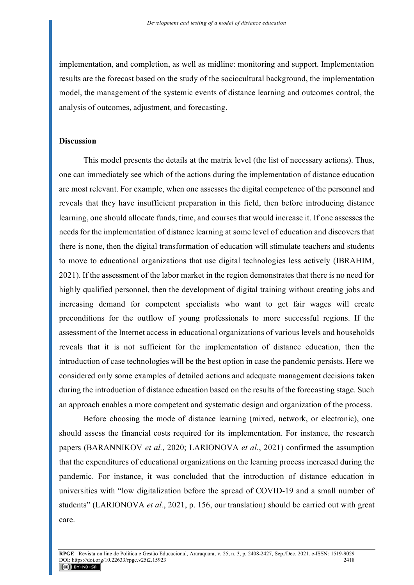implementation, and completion, as well as midline: monitoring and support. Implementation results are the forecast based on the study of the sociocultural background, the implementation model, the management of the systemic events of distance learning and outcomes control, the analysis of outcomes, adjustment, and forecasting.

#### **Discussion**

This model presents the details at the matrix level (the list of necessary actions). Thus, one can immediately see which of the actions during the implementation of distance education are most relevant. For example, when one assesses the digital competence of the personnel and reveals that they have insufficient preparation in this field, then before introducing distance learning, one should allocate funds, time, and courses that would increase it. If one assesses the needs for the implementation of distance learning at some level of education and discovers that there is none, then the digital transformation of education will stimulate teachers and students to move to educational organizations that use digital technologies less actively (IBRAHIM, 2021). If the assessment of the labor market in the region demonstrates that there is no need for highly qualified personnel, then the development of digital training without creating jobs and increasing demand for competent specialists who want to get fair wages will create preconditions for the outflow of young professionals to more successful regions. If the assessment of the Internet access in educational organizations of various levels and households reveals that it is not sufficient for the implementation of distance education, then the introduction of case technologies will be the best option in case the pandemic persists. Here we considered only some examples of detailed actions and adequate management decisions taken during the introduction of distance education based on the results of the forecasting stage. Such an approach enables a more competent and systematic design and organization of the process.

Before choosing the mode of distance learning (mixed, network, or electronic), one should assess the financial costs required for its implementation. For instance, the research papers (BARANNIKOV *et al.*, 2020; LARIONOVA *et al.*, 2021) confirmed the assumption that the expenditures of educational organizations on the learning process increased during the pandemic. For instance, it was concluded that the introduction of distance education in universities with "low digitalization before the spread of COVID-19 and a small number of students" (LARIONOVA *et al.*, 2021, p. 156, our translation) should be carried out with great care.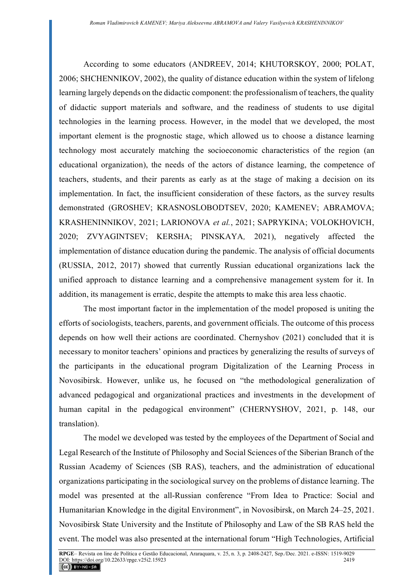According to some educators (ANDREEV, 2014; KHUTORSKOY, 2000; POLAT, 2006; SHCHENNIKOV, 2002), the quality of distance education within the system of lifelong learning largely depends on the didactic component: the professionalism of teachers, the quality of didactic support materials and software, and the readiness of students to use digital technologies in the learning process. However, in the model that we developed, the most important element is the prognostic stage, which allowed us to choose a distance learning technology most accurately matching the socioeconomic characteristics of the region (an educational organization), the needs of the actors of distance learning, the competence of teachers, students, and their parents as early as at the stage of making a decision on its implementation. In fact, the insufficient consideration of these factors, as the survey results demonstrated (GROSHEV; KRASNOSLOBODTSEV, 2020; KAMENEV; ABRAMOVA; KRASHENINNIKOV, 2021; LARIONOVA *et al.*, 2021; SAPRYKINA; VOLOKHOVICH, 2020; ZVYAGINTSEV; KERSHA; PINSKAYA*,* 2021), negatively affected the implementation of distance education during the pandemic. The analysis of official documents (RUSSIA, 2012, 2017) showed that currently Russian educational organizations lack the unified approach to distance learning and a comprehensive management system for it. In addition, its management is erratic, despite the attempts to make this area less chaotic.

The most important factor in the implementation of the model proposed is uniting the efforts of sociologists, teachers, parents, and government officials. The outcome of this process depends on how well their actions are coordinated. Chernyshov (2021) concluded that it is necessary to monitor teachers' opinions and practices by generalizing the results of surveys of the participants in the educational program Digitalization of the Learning Process in Novosibirsk. However, unlike us, he focused on "the methodological generalization of advanced pedagogical and organizational practices and investments in the development of human capital in the pedagogical environment" (CHERNYSHOV, 2021, p. 148, our translation).

The model we developed was tested by the employees of the Department of Social and Legal Research of the Institute of Philosophy and Social Sciences of the Siberian Branch of the Russian Academy of Sciences (SB RAS), teachers, and the administration of educational organizations participating in the sociological survey on the problems of distance learning. The model was presented at the all-Russian conference "From Idea to Practice: Social and Humanitarian Knowledge in the digital Environment", in Novosibirsk, on March 24–25, 2021. Novosibirsk State University and the Institute of Philosophy and Law of the SB RAS held the event. The model was also presented at the international forum "High Technologies, Artificial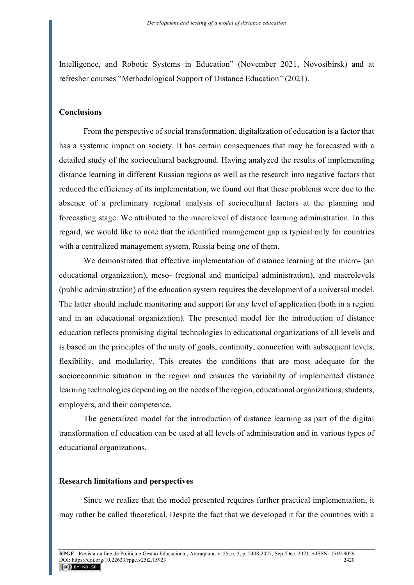Intelligence, and Robotic Systems in Education" (November 2021, Novosibirsk) and at refresher courses "Methodological Support of Distance Education" (2021).

#### **Conclusions**

From the perspective of social transformation, digitalization of education is a factor that has a systemic impact on society. It has certain consequences that may be forecasted with a detailed study of the sociocultural background. Having analyzed the results of implementing distance learning in different Russian regions as well as the research into negative factors that reduced the efficiency of its implementation, we found out that these problems were due to the absence of a preliminary regional analysis of sociocultural factors at the planning and forecasting stage. We attributed to the macrolevel of distance learning administration. In this regard, we would like to note that the identified management gap is typical only for countries with a centralized management system, Russia being one of them.

We demonstrated that effective implementation of distance learning at the micro- (an educational organization), meso- (regional and municipal administration), and macrolevels (public administration) of the education system requires the development of a universal model. The latter should include monitoring and support for any level of application (both in a region and in an educational organization). The presented model for the introduction of distance education reflects promising digital technologies in educational organizations of all levels and is based on the principles of the unity of goals, continuity, connection with subsequent levels, flexibility, and modularity. This creates the conditions that are most adequate for the socioeconomic situation in the region and ensures the variability of implemented distance learning technologies depending on the needs of the region, educational organizations, students, employers, and their competence.

The generalized model for the introduction of distance learning as part of the digital transformation of education can be used at all levels of administration and in various types of educational organizations.

#### **Research limitations and perspectives**

Since we realize that the model presented requires further practical implementation, it may rather be called theoretical. Despite the fact that we developed it for the countries with a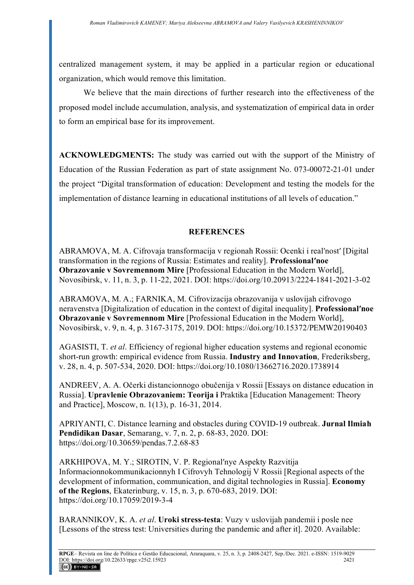centralized management system, it may be applied in a particular region or educational organization, which would remove this limitation.

We believe that the main directions of further research into the effectiveness of the proposed model include accumulation, analysis, and systematization of empirical data in order to form an empirical base for its improvement.

**ACKNOWLEDGMENTS:** The study was carried out with the support of the Ministry of Education of the Russian Federation as part of state assignment No. 073-00072-21-01 under the project "Digital transformation of education: Development and testing the models for the implementation of distance learning in educational institutions of all levels of education."

# **REFERENCES**

ABRAMOVA, M. A. Cifrovaja transformacija v regionah Rossii: Ocenki i realʹnostʹ [Digital transformation in the regions of Russia: Estimates and reality]. **Professionalʹnoe Obrazovanie v Sovremennom Mire** [Professional Education in the Modern World], Novosibirsk, v. 11, n. 3, p. 11-22, 2021. DOI: https://doi.org/10.20913/2224-1841-2021-3-02

ABRAMOVA, M. A.; FARNIKA, M. Cifrovizacija obrazovanija v uslovijah cifrovogo neravenstva [Digitalization of education in the context of digital inequality]. **Professionalʹnoe Obrazovanie v Sovremennom Mire** [Professional Education in the Modern World], Novosibirsk, v. 9, n. 4, p. 3167-3175, 2019. DOI: https://doi.org/10.15372/PEMW20190403

AGASISTI, T. *et al*. Efficiency of regional higher education systems and regional economic short-run growth: empirical evidence from Russia. **Industry and Innovation**, Frederiksberg, v. 28, n. 4, p. 507-534, 2020. DOI: https://doi.org/10.1080/13662716.2020.1738914

ANDREEV, A. A. Očerki distancionnogo obučenija v Rossii [Essays on distance education in Russia]. **Upravlenie Obrazovaniem: Teorija i** Praktika [Education Management: Theory and Practice], Moscow, n. 1(13), p. 16-31, 2014.

APRIYANTI, C. Distance learning and obstacles during COVID-19 outbreak. **Jurnal Ilmiah Pendidikan Dasar**, Semarang, v. 7, n. 2, p. 68-83, 2020. DOI: https://doi.org/10.30659/pendas.7.2.68-83

ARKHIPOVA, M. Y.; SIROTIN, V. P. Regionalʹnye Aspekty Razvitija Informacionnokommunikacionnyh I Cifrovyh Tehnologij V Rossii [Regional aspects of the development of information, communication, and digital technologies in Russia]. **Economy of the Regions**, Ekaterinburg, v. 15, n. 3, p. 670-683, 2019. DOI: https://doi.org/10.17059/2019-3-4

BARANNIKOV, K. A. *et al*. **Uroki stress-testa**: Vuzy v uslovijah pandemii i posle nee [Lessons of the stress test: Universities during the pandemic and after it]. 2020. Available: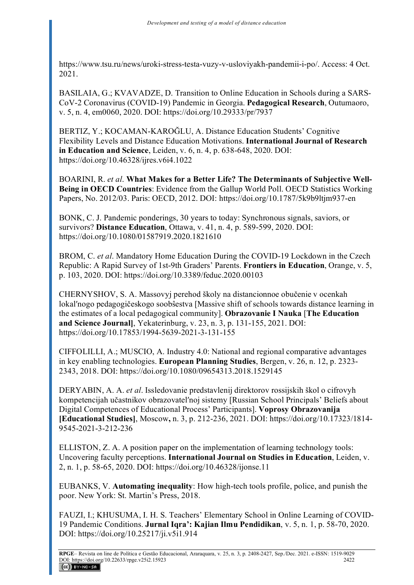https://www.tsu.ru/news/uroki-stress-testa-vuzy-v-usloviyakh-pandemii-i-po/. Access: 4 Oct. 2021.

BASILAIA, G.; KVAVADZE, D. Transition to Online Education in Schools during a SARS-CoV-2 Coronavirus (COVID-19) Pandemic in Georgia. **Pedagogical Research**, Outumaoro, v. 5, n. 4, em0060, 2020. DOI: https://doi.org/10.29333/pr/7937

BERTIZ, Y.; KOCAMAN-KAROĞLU, A. Distance Education Students' Cognitive Flexibility Levels and Distance Education Motivations. **International Journal of Research in Education and Science**, Leiden, v. 6, n. 4, p. 638-648, 2020. DOI: https://doi.org/10.46328/ijres.v6i4.1022

BOARINI, R. *et al*. **What Makes for a Better Life? The Determinants of Subjective Well-Being in OECD Countries**: Evidence from the Gallup World Poll. OECD Statistics Working Papers, No. 2012/03. Paris: OECD, 2012. DOI: https://doi.org/10.1787/5k9b9ltjm937-en

BONK, C. J. Pandemic ponderings, 30 years to today: Synchronous signals, saviors, or survivors? **Distance Education**, Ottawa, v. 41, n. 4, p. 589-599, 2020. DOI: https://doi.org/10.1080/01587919.2020.1821610

BROM, C. *et al*. Mandatory Home Education During the COVID-19 Lockdown in the Czech Republic: A Rapid Survey of 1st-9th Graders' Parents. **Frontiers in Education**, Orange, v. 5, p. 103, 2020. DOI: https://doi.org/10.3389/feduc.2020.00103

CHERNYSHOV, S. A. Massovyj perehod školy na distancionnoe obučenie v ocenkah lokal'nogo pedagogičeskogo soobŝestva [Massive shift of schools towards distance learning in the estimates of a local pedagogical community]. **Obrazovanie I Nauka** [**The Education and Science Journal]**, Yekaterinburg, v. 23, n. 3, p. 131-155, 2021. DOI: https://doi.org/10.17853/1994-5639-2021-3-131-155

CIFFOLILLI, A.; MUSCIO, A. Industry 4.0: National and regional comparative advantages in key enabling technologies. **European Planning Studies**, Bergen, v. 26, n. 12, p. 2323- 2343, 2018. DOI: https://doi.org/10.1080/09654313.2018.1529145

DERYABIN, A. A. *et al*. Issledovanie predstavlenij direktorov rossijskih škol o cifrovyh kompetencijah učastnikov obrazovatelʹnoj sistemy [Russian School Principals' Beliefs about Digital Competences of Educational Process' Participants]. **Voprosy Obrazovanija [Educational Studies]**, Moscow**,** n. 3, p. 212-236, 2021. DOI: https://doi.org/10.17323/1814- 9545-2021-3-212-236

ELLISTON, Z. A. A position paper on the implementation of learning technology tools: Uncovering faculty perceptions. **International Journal on Studies in Education**, Leiden, v. 2, n. 1, p. 58-65, 2020. DOI: https://doi.org/10.46328/ijonse.11

EUBANKS, V. **Automating inequality**: How high-tech tools profile, police, and punish the poor. New York: St. Martin's Press, 2018.

FAUZI, I.; KHUSUMA, I. H. S. Teachers' Elementary School in Online Learning of COVID-19 Pandemic Conditions. **Jurnal Iqra': Kajian Ilmu Pendidikan**, v. 5, n. 1, p. 58-70, 2020. DOI: https://doi.org/10.25217/ji.v5i1.914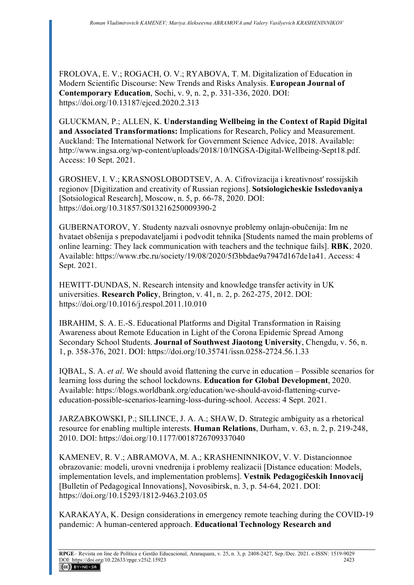FROLOVA, E. V.; ROGACH, O. V.; RYABOVA, T. M. Digitalization of Education in Modern Scientific Discourse: New Trends and Risks Analysis. **European Journal of Contemporary Education**, Sochi, v. 9, n. 2, p. 331-336, 2020. DOI: https://doi.org/10.13187/ejced.2020.2.313

GLUCKMAN, P.; ALLEN, K. **Understanding Wellbeing in the Context of Rapid Digital and Associated Transformations:** Implications for Research, Policy and Measurement. Auckland: The International Network for Government Science Advice, 2018. Available: http://www.ingsa.org/wp-content/uploads/2018/10/INGSA-Digital-Wellbeing-Sept18.pdf. Access: 10 Sept. 2021.

GROSHEV, I. V.; KRASNOSLOBODTSEV, A. A. Cifrovizacija i kreativnostʹ rossijskih regionov [Digitization and creativity of Russian regions]. **Sotsiologicheskie Issledovaniya**  [Sotsiological Research], Moscow, n. 5, p. 66-78, 2020. DOI: https://doi.org/10.31857/S013216250009390-2

GUBERNATOROV, Y. Studenty nazvali osnovnye problemy onlajn-obučenija: Im ne hvataet obŝenija s prepodavateljami i podvodit tehnika [Students named the main problems of online learning: They lack communication with teachers and the technique fails]. **RBK**, 2020. Available: https://www.rbc.ru/society/19/08/2020/5f3bbdae9a7947d167de1a41. Access: 4 Sept. 2021.

HEWITT-DUNDAS, N. Research intensity and knowledge transfer activity in UK universities. **Research Policy**, Brington, v. 41, n. 2, p. 262-275, 2012. DOI: https://doi.org/10.1016/j.respol.2011.10.010

IBRAHIM, S. A. E.-S. Educational Platforms and Digital Transformation in Raising Awareness about Remote Education in Light of the Corona Epidemic Spread Among Secondary School Students. **Journal of Southwest Jiaotong University**, Chengdu, v. 56, n. 1, p. 358-376, 2021. DOI: https://doi.org/10.35741/issn.0258-2724.56.1.33

IQBAL, S. A. *et al*. We should avoid flattening the curve in education – Possible scenarios for learning loss during the school lockdowns. **Education for Global Development**, 2020. Available: https://blogs.worldbank.org/education/we-should-avoid-flattening-curveeducation-possible-scenarios-learning-loss-during-school. Access: 4 Sept. 2021.

JARZABKOWSKI, P.; SILLINCE, J. A. A.; SHAW, D. Strategic ambiguity as a rhetorical resource for enabling multiple interests. **Human Relations**, Durham, v. 63, n. 2, p. 219-248, 2010. DOI: https://doi.org/10.1177/0018726709337040

KAMENEV, R. V.; ABRAMOVA, M. A.; KRASHENINNIKOV, V. V. Distancionnoe obrazovanie: modeli, urovni vnedrenija i problemy realizacii [Distance education: Models, implementation levels, and implementation problems]. **Vestnik Pedagogičeskih Innovacij**  [Bulletin of Pedagogical Innovations], Novosibirsk, n. 3, p. 54-64, 2021. DOI: https://doi.org/10.15293/1812-9463.2103.05

KARAKAYA, K. Design considerations in emergency remote teaching during the COVID-19 pandemic: A human-centered approach. **Educational Technology Research and**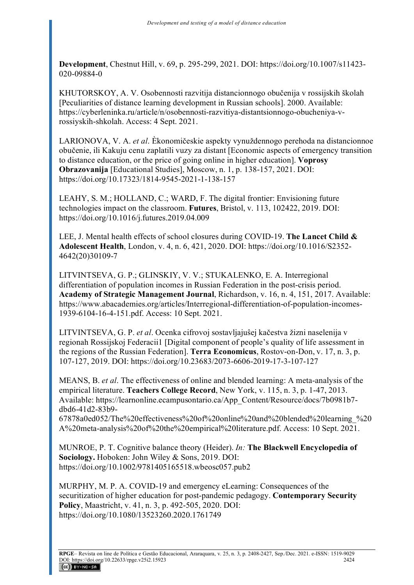**Development**, Chestnut Hill, v. 69, p. 295-299, 2021. DOI: https://doi.org/10.1007/s11423- 020-09884-0

KHUTORSKOY, A. V. Osobennosti razvitija distancionnogo obučenija v rossijskih školah [Peculiarities of distance learning development in Russian schools]. 2000. Available: https://cyberleninka.ru/article/n/osobennosti-razvitiya-distantsionnogo-obucheniya-vrossiyskih-shkolah. Access: 4 Sept. 2021.

LARIONOVA, V. A. *et al*. Èkonomičeskie aspekty vynuždennogo perehoda na distancionnoe obučenie, ili Kakuju cenu zaplatili vuzy za distant [Economic aspects of emergency transition to distance education, or the price of going online in higher education]. **Voprosy Obrazovanija** [Educational Studies], Moscow, n. 1, p. 138-157, 2021. DOI: https://doi.org/10.17323/1814-9545-2021-1-138-157

LEAHY, S. M.; HOLLAND, C.; WARD, F. The digital frontier: Envisioning future technologies impact on the classroom. **Futures**, Bristol, v. 113, 102422, 2019. DOI: https://doi.org/10.1016/j.futures.2019.04.009

LEE, J. Mental health effects of school closures during COVID‐19. **The Lancet Child & Adolescent Health**, London, v. 4, n. 6, 421, 2020. DOI: https://doi.org/10.1016/S2352- 4642(20)30109-7

LITVINTSEVA, G. P.; GLINSKIY, V. V.; STUKALENKO, E. A. Interregional differentiation of population incomes in Russian Federation in the post-crisis period. **Academy of Strategic Management Journal**, Richardson, v. 16, n. 4, 151, 2017. Available: https://www.abacademies.org/articles/Interregional-differentiation-of-population-incomes-1939-6104-16-4-151.pdf. Access: 10 Sept. 2021.

LITVINTSEVA, G. P. *et al*. Ocenka cifrovoj sostavljajuŝej kačestva žizni naselenija v regionah Rossijskoj Federacii1 [Digital component of people's quality of life assessment in the regions of the Russian Federation]. **Terra Economicus**, Rostov-on-Don, v. 17, n. 3, p. 107-127, 2019. DOI: https://doi.org/10.23683/2073-6606-2019-17-3-107-127

MEANS, B. *et al*. The effectiveness of online and blended learning: A meta-analysis of the empirical literature. **Teachers College Record**, New York, v. 115, n. 3, p. 1-47, 2013. Available: https://learnonline.ecampusontario.ca/App\_Content/Resource/docs/7b0981b7 dbd6-41d2-83b9-

67878a0ed052/The%20effectiveness%20of%20online%20and%20blended%20learning\_%20 A%20meta-analysis%20of%20the%20empirical%20literature.pdf. Access: 10 Sept. 2021.

MUNROE, P. T. Cognitive balance theory (Heider). *In:* **The Blackwell Encyclopedia of Sociology.** Hoboken: John Wiley & Sons, 2019. DOI: https://doi.org/10.1002/9781405165518.wbeosc057.pub2

MURPHY, M. P. A. COVID-19 and emergency eLearning: Consequences of the securitization of higher education for post-pandemic pedagogy. **Contemporary Security Policy**, Maastricht, v. 41, n. 3, p. 492-505, 2020. DOI: https://doi.org/10.1080/13523260.2020.1761749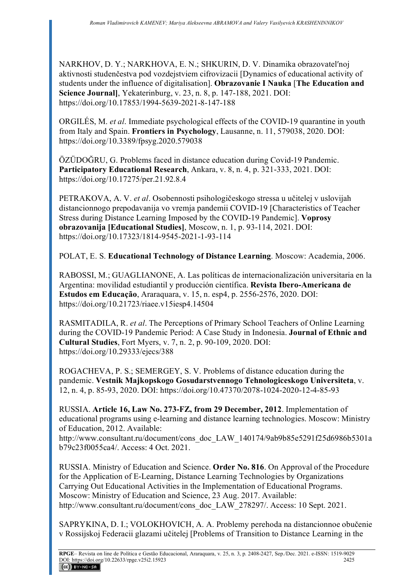NARKHOV, D. Y.; NARKHOVA, E. N.; SHKURIN, D. V. Dinamika obrazovatelʹnoj aktivnosti studenčestva pod vozdejstviem cifrovizacii [Dynamics of educational activity of students under the influence of digitalisation]. **Obrazovanie I Nauka** [**The Education and Science Journal]**, Yekaterinburg, v. 23, n. 8, p. 147-188, 2021. DOI: https://doi.org/10.17853/1994-5639-2021-8-147-188

ORGILÉS, M. *et al*. Immediate psychological effects of the COVID-19 quarantine in youth from Italy and Spain. **Frontiers in Psychology**, Lausanne, n. 11, 579038, 2020. DOI: https://doi.org/10.3389/fpsyg.2020.579038

ÖZÜDOĞRU, G. Problems faced in distance education during Covid-19 Pandemic. **Participatory Educational Research**, Ankara, v. 8, n. 4, p. 321-333, 2021. DOI: https://doi.org/10.17275/per.21.92.8.4

PETRAKOVA, A. V. *et al*. Osobennosti psihologičeskogo stressa u učitelej v uslovijah distancionnogo prepodavanija vo vremja pandemii COVID-19 [Characteristics of Teacher Stress during Distance Learning Imposed by the COVID-19 Pandemic]. **Voprosy obrazovanija [Educational Studies]**, Moscow, n. 1, p. 93-114, 2021. DOI: https://doi.org/10.17323/1814-9545-2021-1-93-114

POLAT, E. S. **Educational Technology of Distance Learning**. Moscow: Academia, 2006.

RABOSSI, M.; GUAGLIANONE, A. Las políticas de internacionalización universitaria en la Argentina: movilidad estudiantil y producción científica. **Revista Ibero-Americana de Estudos em Educação**, Araraquara, v. 15, n. esp4, p. 2556-2576, 2020. DOI: https://doi.org/10.21723/riaee.v15iesp4.14504

RASMITADILA, R. *et al*. The Perceptions of Primary School Teachers of Online Learning during the COVID-19 Pandemic Period: A Case Study in Indonesia. **Journal of Ethnic and Cultural Studies**, Fort Myers, v. 7, n. 2, p. 90-109, 2020. DOI: https://doi.org/10.29333/ejecs/388

ROGACHEVA, P. S.; SEMERGEY, S. V. Problems of distance education during the pandemic. **Vestnik Majkopskogo Gosudarstvennogo Tehnologiceskogo Universiteta**, v. 12, n. 4, p. 85-93, 2020. DOI: https://doi.org/10.47370/2078-1024-2020-12-4-85-93

RUSSIA. **Article 16, Law No. 273-FZ, from 29 December, 2012**. Implementation of educational programs using e-learning and distance learning technologies. Moscow: Ministry of Education, 2012. Available:

http://www.consultant.ru/document/cons\_doc\_LAW\_140174/9ab9b85e5291f25d6986b5301a b79c23f0055ca4/. Access: 4 Oct. 2021.

RUSSIA. Ministry of Education and Science. **Order No. 816**. On Approval of the Procedure for the Application of E-Learning, Distance Learning Technologies by Organizations Carrying Out Educational Activities in the Implementation of Educational Programs. Moscow: Ministry of Education and Science, 23 Aug. 2017. Available: http://www.consultant.ru/document/cons\_doc\_LAW\_278297/. Access: 10 Sept. 2021.

SAPRYKINA, D. I.; VOLOKHOVICH, A. A. Problemy perehoda na distancionnoe obučenie v Rossijskoj Federacii glazami učitelej [Problems of Transition to Distance Learning in the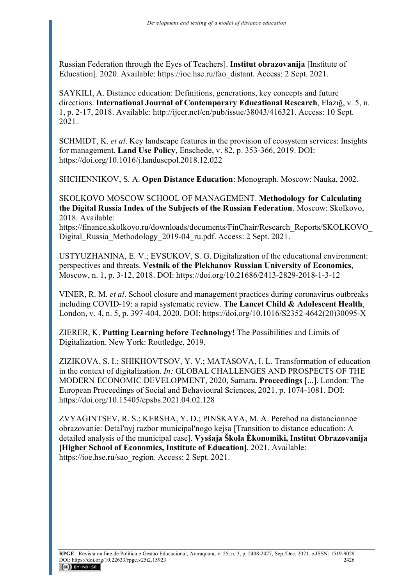Russian Federation through the Eyes of Teachers]. **Institut obrazovanija** [Institute of Education]. 2020. Available: https://ioe.hse.ru/fao\_distant. Access: 2 Sept. 2021.

SAYKILI, A. Distance education: Definitions, generations, key concepts and future directions. **International Journal of Contemporary Educational Research**, Elazığ, v. 5, n. 1, p. 2-17, 2018. Available: http://ijcer.net/en/pub/issue/38043/416321. Access: 10 Sept. 2021.

SCHMIDT, K. *et al*. Key landscape features in the provision of ecosystem services: Insights for management. **Land Use Policy**, Enschede, v. 82, p. 353-366, 2019. DOI: https://doi.org/10.1016/j.landusepol.2018.12.022

SHCHENNIKOV, S. A. **Open Distance Education**: Monograph. Moscow: Nauka, 2002.

SKOLKOVO MOSCOW SCHOOL OF MANAGEMENT. **Methodology for Calculating the Digital Russia Index of the Subjects of the Russian Federation**. Moscow: Skolkovo, 2018. Available:

https://finance.skolkovo.ru/downloads/documents/FinChair/Research\_Reports/SKOLKOVO\_ Digital\_Russia\_Methodology\_2019-04\_ru.pdf. Access: 2 Sept. 2021.

USTYUZHANINA, E. V.; EVSUKOV, S. G. Digitalization of the educational environment: perspectives and threats. **Vestnik of the Plekhanov Russian University of Economics**, Moscow, n. 1, p. 3-12, 2018. DOI: https://doi.org/10.21686/2413-2829-2018-1-3-12

VINER, R. M. *et al*. School closure and management practices during coronavirus outbreaks including COVID-19: a rapid systematic review. **The Lancet Child & Adolescent Health**, London, v. 4, n. 5, p. 397-404, 2020. DOI: https://doi.org/10.1016/S2352-4642(20)30095-X

ZIERER, K. **Putting Learning before Technology!** The Possibilities and Limits of Digitalization. New York: Routledge, 2019.

ZIZIKOVA, S. I.; SHIKHOVTSOV, Y. V.; MATASOVA, I. L. Transformation of education in the context of digitalization. *In:* GLOBAL CHALLENGES AND PROSPECTS OF THE MODERN ECONOMIC DEVELOPMENT, 2020, Samara. **Proceedings** [...]. London: The European Proceedings of Social and Behavioural Sciences, 2021. p. 1074-1081. DOI: https://doi.org/10.15405/epsbs.2021.04.02.128

ZVYAGINTSEV, R. S.; KERSHA, Y. D.; PINSKAYA, M. A. Perehod na distancionnoe obrazovanie: Detalʹnyj razbor municipalʹnogo kejsa [Transition to distance education: A detailed analysis of the municipal case]. **Vysšaja Škola Èkonomiki, Institut Obrazovanija [Higher School of Economics, Institute of Education]**. 2021. Available: https://ioe.hse.ru/sao\_region. Access: 2 Sept. 2021.